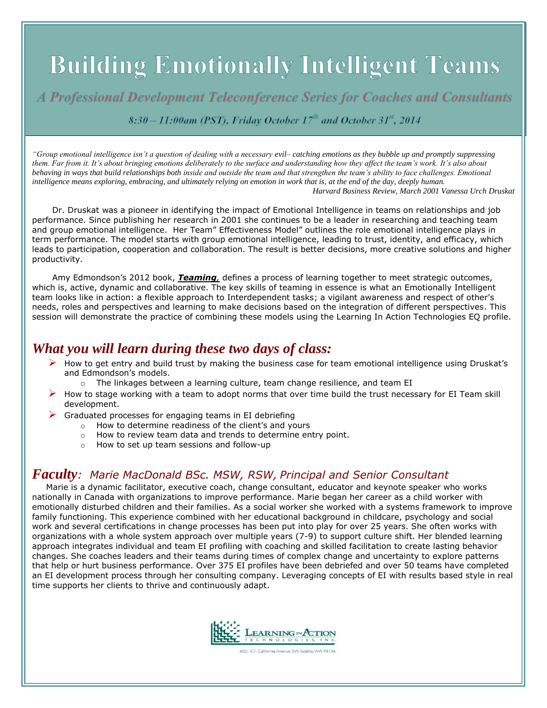# **Building Emotionally Intelligent Teams**

A Professional Development Teleconference Series for Coaches and Consultants

 $8:30-11:00$ am (PST), Friday October 17<sup>th</sup> and October 31<sup>st</sup>, 2014

*"Group emotional intelligence isn't a question of dealing with a necessary evil– catching emotions as they bubble up and promptly suppressing them. Far from it. It's about bringing emotions deliberately to the surface and understanding how they affect the team's work. It's also about behaving in ways that build relationships both inside and outside the team and that strengthen the team's ability to face challenges. Emotional intelligence means exploring, embracing, and ultimately relying on emotion in work that is, at the end of the day, deeply human. Harvard Business Review, March 2001 Vanessa Urch Druskat*

Dr. Druskat was a pioneer in identifying the impact of Emotional Intelligence in teams on relationships and job performance. Since publishing her research in 2001 she continues to be a leader in researching and teaching team and group emotional intelligence. Her Team" Effectiveness Model" outlines the role emotional intelligence plays in term performance. The model starts with group emotional intelligence, leading to trust, identity, and efficacy, which leads to participation, cooperation and collaboration. The result is better decisions, more creative solutions and higher productivity.

Amy Edmondson's 2012 book, *Teaming,* defines a process of learning together to meet strategic outcomes, which is, active, dynamic and collaborative. The key skills of teaming in essence is what an Emotionally Intelligent team looks like in action: a flexible approach to Interdependent tasks; a vigilant awareness and respect of other's needs, roles and perspectives and learning to make decisions based on the integration of different perspectives. This session will demonstrate the practice of combining these models using the Learning In Action Technologies EQ profile.

# *What you will learn during these two days of class:*

- $\triangleright$  How to get entry and build trust by making the business case for team emotional intelligence using Druskat's and Edmondson's models.
	- $\circ$  The linkages between a learning culture, team change resilience, and team EI
- $\triangleright$  How to stage working with a team to adopt norms that over time build the trust necessary for EI Team skill development.
- Graduated processes for engaging teams in EI debriefing
	- o How to determine readiness of the client's and yours
	- o How to review team data and trends to determine entry point.
	- o How to set up team sessions and follow-up

# *Faculty: Marie MacDonald BSc. MSW, RSW, Principal and Senior Consultant*

 Marie is a dynamic facilitator, executive coach, change consultant, educator and keynote speaker who works nationally in Canada with organizations to improve performance. Marie began her career as a child worker with emotionally disturbed children and their families. As a social worker she worked with a systems framework to improve family functioning. This experience combined with her educational background in childcare, psychology and social work and several certifications in change processes has been put into play for over 25 years. She often works with organizations with a whole system approach over multiple years (7-9) to support culture shift. Her blended learning approach integrates individual and team EI profiling with coaching and skilled facilitation to create lasting behavior changes. She coaches leaders and their teams during times of complex change and uncertainty to explore patterns that help or hurt business performance. Over 375 EI profiles have been debriefed and over 50 teams have completed an EI development process through her consulting company. Leveraging concepts of EI with results based style in real time supports her clients to thrive and continuously adapt.